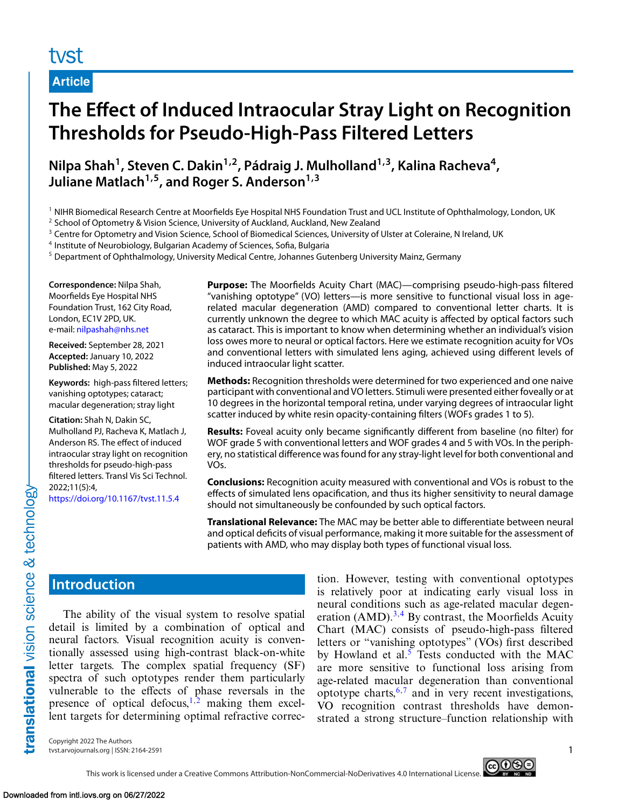## tyst

**Article**

# **The Effect of Induced Intraocular Stray Light on Recognition Thresholds for Pseudo-High-Pass Filtered Letters**

**Nilpa Shah1, Steven C. Dakin1,2, Pádraig J. Mulholland1,3, Kalina Racheva4,** Juliane Matlach<sup>1,5</sup>, and Roger S. Anderson<sup>1,3</sup>

<sup>1</sup> NIHR Biomedical Research Centre at Moorfields Eye Hospital NHS Foundation Trust and UCL Institute of Ophthalmology, London, UK

<sup>2</sup> School of Optometry & Vision Science, University of Auckland, Auckland, New Zealand

<sup>3</sup> Centre for Optometry and Vision Science, School of Biomedical Sciences, University of Ulster at Coleraine, N Ireland, UK

This work is licensed under a Creative Commons Attribution-NonCommercial-NoDerivatives 4.0 International License.

<sup>4</sup> Institute of Neurobiology, Bulgarian Academy of Sciences, Sofia, Bulgaria

<sup>5</sup> Department of Ophthalmology, University Medical Centre, Johannes Gutenberg University Mainz, Germany

**Correspondence:** Nilpa Shah, Moorfields Eye Hospital NHS Foundation Trust, 162 City Road, London, EC1V 2PD, UK. e-mail: [nilpashah@nhs.net](mailto:nilpashah@nhs.net)

**Received:** September 28, 2021 **Accepted:** January 10, 2022 **Published:** May 5, 2022

**Keywords:** high-pass filtered letters; vanishing optotypes; cataract; macular degeneration; stray light

**Citation:** Shah N, Dakin SC, Mulholland PJ, Racheva K, Matlach J, Anderson RS. The effect of induced intraocular stray light on recognition thresholds for pseudo-high-pass filtered letters. Transl Vis Sci Technol. 2022;11(5):4,

<https://doi.org/10.1167/tvst.11.5.4>

**Purpose:** The Moorfields Acuity Chart (MAC)—comprising pseudo-high-pass filtered "vanishing optotype" (VO) letters—is more sensitive to functional visual loss in agerelated macular degeneration (AMD) compared to conventional letter charts. It is currently unknown the degree to which MAC acuity is affected by optical factors such as cataract. This is important to know when determining whether an individual's vision loss owes more to neural or optical factors. Here we estimate recognition acuity for VOs and conventional letters with simulated lens aging, achieved using different levels of induced intraocular light scatter.

**Methods:** Recognition thresholds were determined for two experienced and one naive participant with conventional and VO letters. Stimuli were presented either foveally or at 10 degrees in the horizontal temporal retina, under varying degrees of intraocular light scatter induced by white resin opacity-containing filters (WOFs grades 1 to 5).

**Results:** Foveal acuity only became significantly different from baseline (no filter) for WOF grade 5 with conventional letters and WOF grades 4 and 5 with VOs. In the periphery, no statistical difference was found for any stray-light level for both conventional and VOs.

**Conclusions:** Recognition acuity measured with conventional and VOs is robust to the effects of simulated lens opacification, and thus its higher sensitivity to neural damage should not simultaneously be confounded by such optical factors.

**Translational Relevance:** The MAC may be better able to differentiate between neural and optical deficits of visual performance, making it more suitable for the assessment of patients with AMD, who may display both types of functional visual loss.

### **Introduction**

translational vision science & technology

The ability of the visual system to resolve spatial detail is limited by a combination of optical and neural factors. Visual recognition acuity is conventionally assessed using high-contrast black-on-white letter targets. The complex spatial frequency (SF) spectra of such optotypes render them particularly vulnerable to the effects of phase reversals in the presence of optical defocus,<sup>[1,2](#page-6-0)</sup> making them excellent targets for determining optimal refractive correc-

tion. However, testing with conventional optotypes is relatively poor at indicating early visual loss in neural conditions such as age-related macular degeneration  $(AMD).^{3,4}$  $(AMD).^{3,4}$  $(AMD).^{3,4}$  By contrast, the Moorfields Acuity Chart (MAC) consists of pseudo-high-pass filtered letters or "vanishing optotypes" (VOs) first described by Howland et al.<sup>[5](#page-6-0)</sup> Tests conducted with the MAC are more sensitive to functional loss arising from age-related macular degeneration than conventional optotype charts,  $6,7$  and in very recent investigations, VO recognition contrast thresholds have demonstrated a strong structure–function relationship with

Copyright 2022 The Authors tvst.arvojournals.org | ISSN: 2164-2591 1

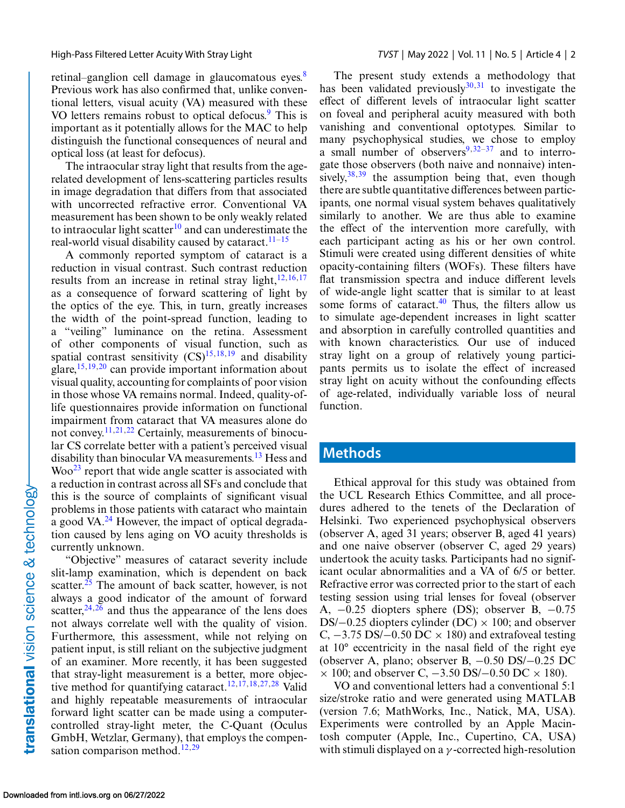retinal–ganglion cell damage in glaucomatous eyes.<sup>[8](#page-6-0)</sup> Previous work has also confirmed that, unlike conventional letters, visual acuity (VA) measured with these VO letters remains robust to optical defocus.<sup>9</sup> This is important as it potentially allows for the MAC to help distinguish the functional consequences of neural and optical loss (at least for defocus).

The intraocular stray light that results from the agerelated development of lens-scattering particles results in image degradation that differs from that associated with uncorrected refractive error. Conventional VA measurement has been shown to be only weakly related to intraocular light scatter<sup>[10](#page-6-0)</sup> and can underestimate the real-world visual disability caused by cataract.<sup>[11–15](#page-6-0)</sup>

A commonly reported symptom of cataract is a reduction in visual contrast. Such contrast reduction results from an increase in retinal stray light, $12,16,17$ as a consequence of forward scattering of light by the optics of the eye. This, in turn, greatly increases the width of the point-spread function, leading to a "veiling" luminance on the retina. Assessment of other components of visual function, such as spatial contrast sensitivity  $(CS)^{15,18,19}$  and disability glare,  $15,19,20$  can provide important information about visual quality, accounting for complaints of poor vision in those whose VA remains normal. Indeed, quality-oflife questionnaires provide information on functional impairment from cataract that VA measures alone do not convey.[11,21,22](#page-6-0) Certainly, measurements of binocular CS correlate better with a patient's perceived visual disability than binocular VA measurements.<sup>[13](#page-6-0)</sup> Hess and  $Woo<sup>23</sup>$  report that wide angle scatter is associated with a reduction in contrast across all SFs and conclude that this is the source of complaints of significant visual problems in those patients with cataract who maintain a good VA. $^{24}$  $^{24}$  $^{24}$  However, the impact of optical degradation caused by lens aging on VO acuity thresholds is currently unknown.

"Objective" measures of cataract severity include slit-lamp examination, which is dependent on back scatter.<sup>25</sup> The amount of back scatter, however, is not always a good indicator of the amount of forward scatter,  $24,26$  and thus the appearance of the lens does not always correlate well with the quality of vision. Furthermore, this assessment, while not relying on patient input, is still reliant on the subjective judgment of an examiner. More recently, it has been suggested that stray-light measurement is a better, more objec-tive method for quantifying cataract.<sup>[12,17,18,27,](#page-6-0)[28](#page-7-0)</sup> Valid and highly repeatable measurements of intraocular forward light scatter can be made using a computercontrolled stray-light meter, the C-Quant (Oculus GmbH, Wetzlar, Germany), that employs the compen-sation comparison method.<sup>[12,](#page-6-0)[29](#page-7-0)</sup>

The present study extends a methodology that has been validated previously $30,31$  to investigate the effect of different levels of intraocular light scatter on foveal and peripheral acuity measured with both vanishing and conventional optotypes. Similar to many psychophysical studies, we chose to employ a small number of observers $9,32-37$  and to interrogate those observers (both naive and nonnaive) intensively,  $38,39$  the assumption being that, even though there are subtle quantitative differences between participants, one normal visual system behaves qualitatively similarly to another. We are thus able to examine the effect of the intervention more carefully, with each participant acting as his or her own control. Stimuli were created using different densities of white opacity-containing filters (WOFs). These filters have flat transmission spectra and induce different levels of wide-angle light scatter that is similar to at least some forms of cataract. $40$  Thus, the filters allow us to simulate age-dependent increases in light scatter and absorption in carefully controlled quantities and with known characteristics. Our use of induced stray light on a group of relatively young participants permits us to isolate the effect of increased stray light on acuity without the confounding effects of age-related, individually variable loss of neural function.

#### **Methods**

Ethical approval for this study was obtained from the UCL Research Ethics Committee, and all procedures adhered to the tenets of the Declaration of Helsinki. Two experienced psychophysical observers (observer A, aged 31 years; observer B, aged 41 years) and one naive observer (observer C, aged 29 years) undertook the acuity tasks. Participants had no significant ocular abnormalities and a VA of 6/5 or better. Refractive error was corrected prior to the start of each testing session using trial lenses for foveal (observer A, −0.25 diopters sphere (DS); observer B, −0.75 DS/ $-0.25$  diopters cylinder (DC)  $\times$  100; and observer C,  $-3.75$  DS/ $-0.50$  DC  $\times$  180) and extrafoveal testing at 10° eccentricity in the nasal field of the right eye (observer A, plano; observer B, −0.50 DS/−0.25 DC  $\times$  100; and observer C,  $-3.50$  DS/ $-0.50$  DC  $\times$  180).

VO and conventional letters had a conventional 5:1 size/stroke ratio and were generated using MATLAB (version 7.6; MathWorks, Inc., Natick, MA, USA). Experiments were controlled by an Apple Macintosh computer (Apple, Inc., Cupertino, CA, USA) with stimuli displayed on a  $\gamma$ -corrected high-resolution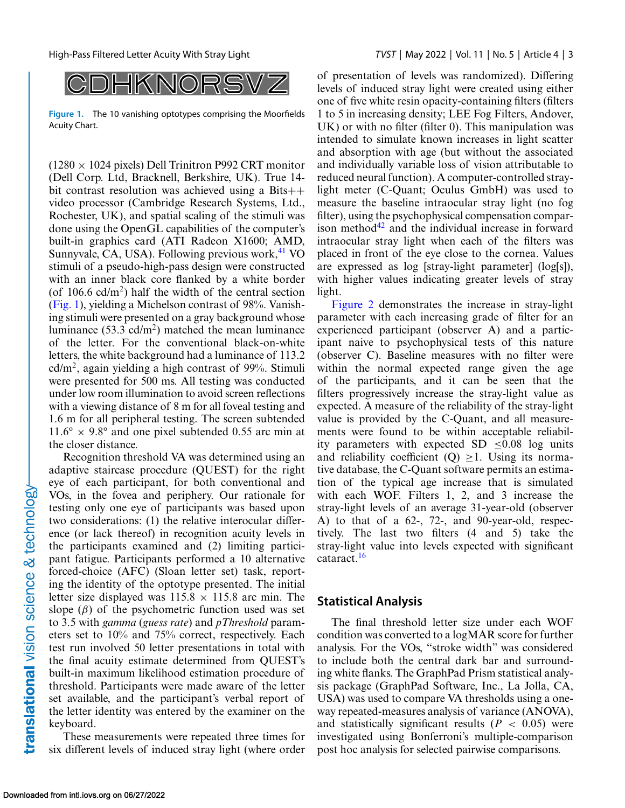

**Figure 1.** The 10 vanishing optotypes comprising the Moorfields Acuity Chart.

 $(1280 \times 1024$  pixels) Dell Trinitron P992 CRT monitor (Dell Corp. Ltd, Bracknell, Berkshire, UK). True 14 bit contrast resolution was achieved using a Bits++ video processor (Cambridge Research Systems, Ltd., Rochester, UK), and spatial scaling of the stimuli was done using the OpenGL capabilities of the computer's built-in graphics card (ATI Radeon X1600; AMD, Sunnyvale, CA, USA). Following previous work, $41$  VO stimuli of a pseudo-high-pass design were constructed with an inner black core flanked by a white border (of  $106.6$  cd/m<sup>2</sup>) half the width of the central section (Fig. 1), yielding a Michelson contrast of 98%. Vanishing stimuli were presented on a gray background whose luminance (53.3 cd/m<sup>2</sup>) matched the mean luminance of the letter. For the conventional black-on-white letters, the white background had a luminance of 113.2  $cd/m<sup>2</sup>$ , again yielding a high contrast of 99%. Stimuli were presented for 500 ms. All testing was conducted under low room illumination to avoid screen reflections with a viewing distance of 8 m for all foveal testing and 1.6 m for all peripheral testing. The screen subtended  $11.6^\circ \times 9.8^\circ$  and one pixel subtended 0.55 arc min at the closer distance.

Recognition threshold VA was determined using an adaptive staircase procedure (QUEST) for the right eye of each participant, for both conventional and VOs, in the fovea and periphery. Our rationale for testing only one eye of participants was based upon two considerations: (1) the relative interocular difference (or lack thereof) in recognition acuity levels in the participants examined and (2) limiting participant fatigue. Participants performed a 10 alternative forced-choice (AFC) (Sloan letter set) task, reporting the identity of the optotype presented. The initial letter size displayed was  $115.8 \times 115.8$  arc min. The slope  $(\beta)$  of the psychometric function used was set to 3.5 with *gamma* (*guess rate*) and *pThreshold* parameters set to 10% and 75% correct, respectively. Each test run involved 50 letter presentations in total with the final acuity estimate determined from QUEST's built-in maximum likelihood estimation procedure of threshold. Participants were made aware of the letter set available, and the participant's verbal report of the letter identity was entered by the examiner on the keyboard.

These measurements were repeated three times for six different levels of induced stray light (where order

of presentation of levels was randomized). Differing levels of induced stray light were created using either one of five white resin opacity-containing filters (filters 1 to 5 in increasing density; LEE Fog Filters, Andover, UK) or with no filter (filter 0). This manipulation was intended to simulate known increases in light scatter and absorption with age (but without the associated and individually variable loss of vision attributable to reduced neural function). A computer-controlled straylight meter (C-Quant; Oculus GmbH) was used to measure the baseline intraocular stray light (no fog filter), using the psychophysical compensation comparison method $42$  and the individual increase in forward intraocular stray light when each of the filters was placed in front of the eye close to the cornea. Values are expressed as log [stray-light parameter] (log[s]), with higher values indicating greater levels of stray light.

[Figure 2](#page-3-0) demonstrates the increase in stray-light parameter with each increasing grade of filter for an experienced participant (observer A) and a participant naive to psychophysical tests of this nature (observer C). Baseline measures with no filter were within the normal expected range given the age of the participants, and it can be seen that the filters progressively increase the stray-light value as expected. A measure of the reliability of the stray-light value is provided by the C-Quant, and all measurements were found to be within acceptable reliability parameters with expected  $SD < 0.08$  log units and reliability coefficient  $(Q) > 1$ . Using its normative database, the C-Quant software permits an estimation of the typical age increase that is simulated with each WOF. Filters 1, 2, and 3 increase the stray-light levels of an average 31-year-old (observer A) to that of a 62-, 72-, and 90-year-old, respectively. The last two filters (4 and 5) take the stray-light value into levels expected with significant cataract.[16](#page-6-0)

#### **Statistical Analysis**

The final threshold letter size under each WOF condition was converted to a logMAR score for further analysis. For the VOs, "stroke width" was considered to include both the central dark bar and surrounding white flanks. The GraphPad Prism statistical analysis package (GraphPad Software, Inc., La Jolla, CA, USA) was used to compare VA thresholds using a oneway repeated-measures analysis of variance (ANOVA), and statistically significant results  $(P < 0.05)$  were investigated using Bonferroni's multiple-comparison post hoc analysis for selected pairwise comparisons.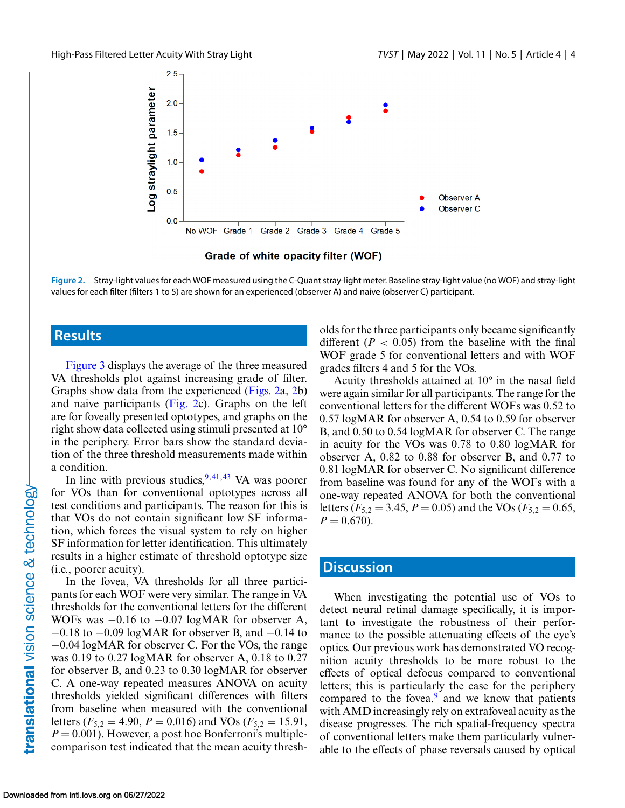<span id="page-3-0"></span>

Grade of white opacity filter (WOF)

**Figure 2.** Stray-light values for each WOF measured using the C-Quant stray-light meter. Baseline stray-light value (no WOF) and stray-light values for each filter (filters 1 to 5) are shown for an experienced (observer A) and naive (observer C) participant.

#### **Results**

[Figure 3](#page-4-0) displays the average of the three measured VA thresholds plot against increasing grade of filter. Graphs show data from the experienced (Figs. 2a, 2b) and naive participants (Fig. 2c). Graphs on the left are for foveally presented optotypes, and graphs on the right show data collected using stimuli presented at 10° in the periphery. Error bars show the standard deviation of the three threshold measurements made within a condition.

In line with previous studies,  $9,41,43$  $9,41,43$  VA was poorer for VOs than for conventional optotypes across all test conditions and participants. The reason for this is that VOs do not contain significant low SF information, which forces the visual system to rely on higher SF information for letter identification. This ultimately results in a higher estimate of threshold optotype size (i.e., poorer acuity).

In the fovea, VA thresholds for all three participants for each WOF were very similar. The range in VA thresholds for the conventional letters for the different WOFs was −0.16 to −0.07 logMAR for observer A, −0.18 to −0.09 logMAR for observer B, and −0.14 to −0.04 logMAR for observer C. For the VOs, the range was 0.19 to 0.27 logMAR for observer A, 0.18 to 0.27 for observer B, and 0.23 to 0.30 logMAR for observer C. A one-way repeated measures ANOVA on acuity thresholds yielded significant differences with filters from baseline when measured with the conventional letters ( $F_{5,2} = 4.90$ ,  $P = 0.016$ ) and VOs ( $F_{5,2} = 15.91$ ,  $P = 0.001$ ). However, a post hoc Bonferroni's multiplecomparison test indicated that the mean acuity thresholds for the three participants only became significantly different  $(P < 0.05)$  from the baseline with the final WOF grade 5 for conventional letters and with WOF grades filters 4 and 5 for the VOs.

Acuity thresholds attained at 10° in the nasal field were again similar for all participants. The range for the conventional letters for the different WOFs was 0.52 to 0.57 logMAR for observer A, 0.54 to 0.59 for observer B, and 0.50 to 0.54 logMAR for observer C. The range in acuity for the VOs was 0.78 to 0.80 logMAR for observer A, 0.82 to 0.88 for observer B, and 0.77 to 0.81 logMAR for observer C. No significant difference from baseline was found for any of the WOFs with a one-way repeated ANOVA for both the conventional letters ( $F_{5,2} = 3.45$ ,  $P = 0.05$ ) and the VOs ( $F_{5,2} = 0.65$ ,  $P = 0.670$ .

#### **Discussion**

When investigating the potential use of VOs to detect neural retinal damage specifically, it is important to investigate the robustness of their performance to the possible attenuating effects of the eye's optics. Our previous work has demonstrated VO recognition acuity thresholds to be more robust to the effects of optical defocus compared to conventional letters; this is particularly the case for the periphery compared to the fovea, $9$  and we know that patients with AMD increasingly rely on extrafoveal acuity as the disease progresses. The rich spatial-frequency spectra of conventional letters make them particularly vulnerable to the effects of phase reversals caused by optical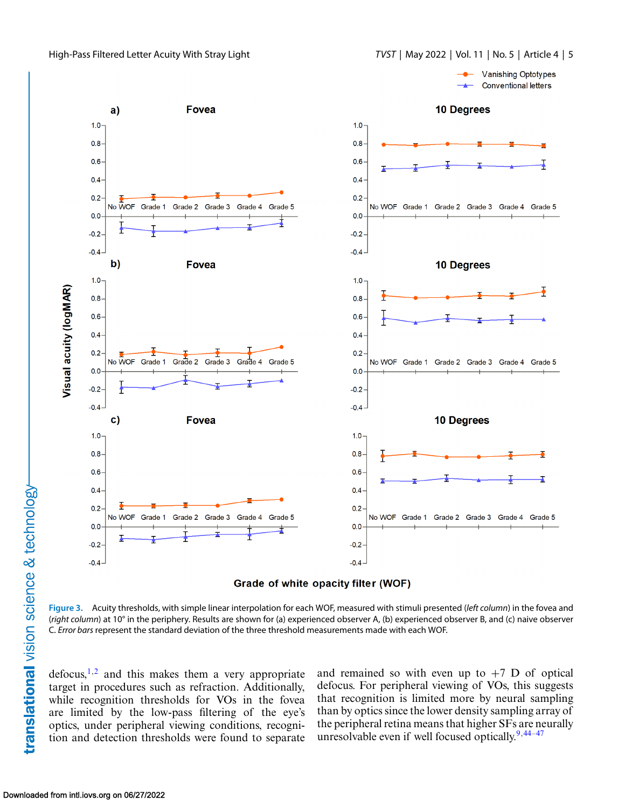<span id="page-4-0"></span>





**Figure 3.** Acuity thresholds, with simple linear interpolation for each WOF, measured with stimuli presented (*left column*) in the fovea and (*right column*) at 10° in the periphery. Results are shown for (a) experienced observer A, (b) experienced observer B, and (c) naive observer C. *Error bars* represent the standard deviation of the three threshold measurements made with each WOF.

 $defocus<sub>1</sub>,<sup>2</sup>$  and this makes them a very appropriate target in procedures such as refraction. Additionally, while recognition thresholds for VOs in the fovea are limited by the low-pass filtering of the eye's optics, under peripheral viewing conditions, recognition and detection thresholds were found to separate

and remained so with even up to  $+7$  D of optical defocus. For peripheral viewing of VOs, this suggests that recognition is limited more by neural sampling than by optics since the lower density sampling array of the peripheral retina means that higher SFs are neurally unresolvable even if well focused optically. $9,44-47$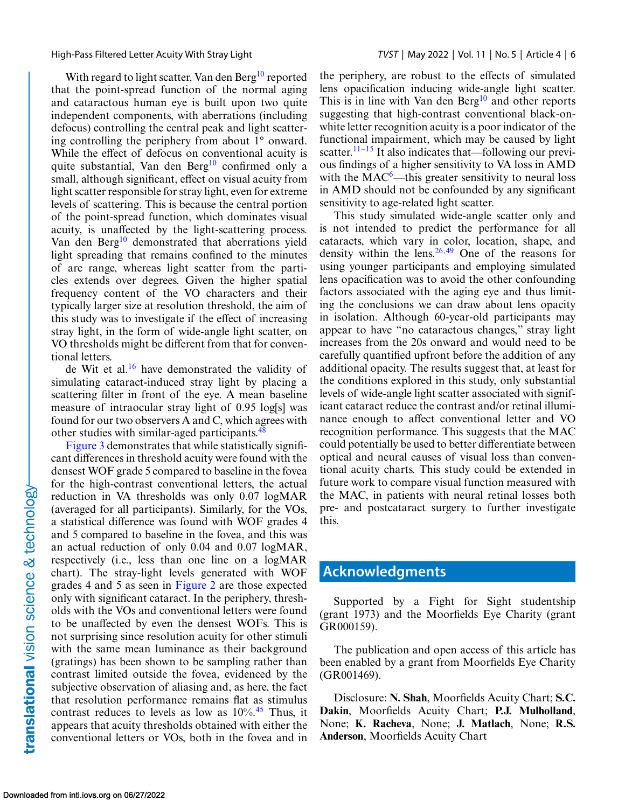With regard to light scatter, Van den Berg<sup>[10](#page-6-0)</sup> reported that the point-spread function of the normal aging and cataractous human eye is built upon two quite independent components, with aberrations (including defocus) controlling the central peak and light scattering controlling the periphery from about 1° onward. While the effect of defocus on conventional acuity is quite substantial, Van den Berg<sup>10</sup> confirmed only a small, although significant, effect on visual acuity from light scatter responsible for stray light, even for extreme levels of scattering. This is because the central portion of the point-spread function, which dominates visual acuity, is unaffected by the light-scattering process. Van den Berg<sup>[10](#page-6-0)</sup> demonstrated that aberrations yield light spreading that remains confined to the minutes of arc range, whereas light scatter from the particles extends over degrees. Given the higher spatial frequency content of the VO characters and their typically larger size at resolution threshold, the aim of this study was to investigate if the effect of increasing stray light, in the form of wide-angle light scatter, on VO thresholds might be different from that for conventional letters.

de Wit et al.[16](#page-6-0) have demonstrated the validity of simulating cataract-induced stray light by placing a scattering filter in front of the eye. A mean baseline measure of intraocular stray light of 0.95 log[s] was found for our two observers A and C, which agrees with other studies with similar-aged participants.<sup>[48](#page-7-0)</sup>

[Figure 3](#page-4-0) demonstrates that while statistically significant differences in threshold acuity were found with the densest WOF grade 5 compared to baseline in the fovea for the high-contrast conventional letters, the actual reduction in VA thresholds was only 0.07 logMAR (averaged for all participants). Similarly, for the VOs, a statistical difference was found with WOF grades 4 and 5 compared to baseline in the fovea, and this was an actual reduction of only 0.04 and 0.07 logMAR, respectively (i.e., less than one line on a logMAR chart). The stray-light levels generated with WOF grades 4 and 5 as seen in [Figure 2](#page-3-0) are those expected only with significant cataract. In the periphery, thresholds with the VOs and conventional letters were found to be unaffected by even the densest WOFs. This is not surprising since resolution acuity for other stimuli with the same mean luminance as their background (gratings) has been shown to be sampling rather than contrast limited outside the fovea, evidenced by the subjective observation of aliasing and, as here, the fact that resolution performance remains flat as stimulus contrast reduces to levels as low as  $10\%$ .<sup>[45](#page-7-0)</sup> Thus, it appears that acuity thresholds obtained with either the conventional letters or VOs, both in the fovea and in

the periphery, are robust to the effects of simulated lens opacification inducing wide-angle light scatter. This is in line with Van den Berg $10$  and other reports suggesting that high-contrast conventional black-onwhite letter recognition acuity is a poor indicator of the functional impairment, which may be caused by light scatter.<sup>11–15</sup> It also indicates that—following our previous findings of a higher sensitivity to VA loss in AMD with the  $MAC<sup>6</sup>$ —this greater sensitivity to neural loss in AMD should not be confounded by any significant sensitivity to age-related light scatter.

This study simulated wide-angle scatter only and is not intended to predict the performance for all cataracts, which vary in color, location, shape, and density within the lens.  $26,49$  $26,49$  One of the reasons for using younger participants and employing simulated lens opacification was to avoid the other confounding factors associated with the aging eye and thus limiting the conclusions we can draw about lens opacity in isolation. Although 60-year-old participants may appear to have "no cataractous changes," stray light increases from the 20s onward and would need to be carefully quantified upfront before the addition of any additional opacity. The results suggest that, at least for the conditions explored in this study, only substantial levels of wide-angle light scatter associated with significant cataract reduce the contrast and/or retinal illuminance enough to affect conventional letter and VO recognition performance. This suggests that the MAC could potentially be used to better differentiate between optical and neural causes of visual loss than conventional acuity charts. This study could be extended in future work to compare visual function measured with the MAC, in patients with neural retinal losses both pre- and postcataract surgery to further investigate this.

### **Acknowledgments**

Supported by a Fight for Sight studentship (grant 1973) and the Moorfields Eye Charity (grant GR000159).

The publication and open access of this article has been enabled by a grant from Moorfields Eye Charity (GR001469).

Disclosure: **N. Shah**, Moorfields Acuity Chart; **S.C. Dakin**, Moorfields Acuity Chart; **P.J. Mulholland**, None; **K. Racheva**, None; **J. Matlach**, None; **R.S. Anderson**, Moorfields Acuity Chart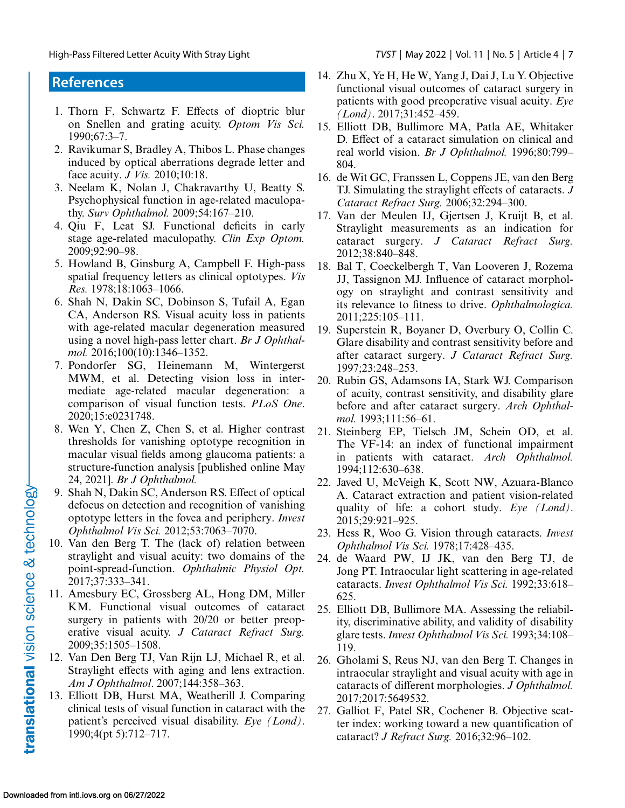### <span id="page-6-0"></span>**References**

- 1. Thorn F, Schwartz F. Effects of dioptric blur on Snellen and grating acuity. *Optom Vis Sci.* 1990;67:3–7.
- 2. Ravikumar S, Bradley A, Thibos L. Phase changes induced by optical aberrations degrade letter and face acuity. *J Vis.* 2010;10:18.
- 3. Neelam K, Nolan J, Chakravarthy U, Beatty S. Psychophysical function in age-related maculopathy. *Surv Ophthalmol.* 2009;54:167–210.
- 4. Qiu F, Leat SJ. Functional deficits in early stage age-related maculopathy. *Clin Exp Optom.* 2009;92:90–98.
- 5. Howland B, Ginsburg A, Campbell F. High-pass spatial frequency letters as clinical optotypes. *Vis Res.* 1978;18:1063–1066.
- 6. Shah N, Dakin SC, Dobinson S, Tufail A, Egan CA, Anderson RS. Visual acuity loss in patients with age-related macular degeneration measured using a novel high-pass letter chart. *Br J Ophthalmol.* 2016;100(10):1346–1352.
- 7. Pondorfer SG, Heinemann M, Wintergerst MWM, et al. Detecting vision loss in intermediate age-related macular degeneration: a comparison of visual function tests. *PLoS One*. 2020;15:e0231748.
- 8. Wen Y, Chen Z, Chen S, et al. Higher contrast thresholds for vanishing optotype recognition in macular visual fields among glaucoma patients: a structure-function analysis [published online May 24, 2021]. *Br J Ophthalmol.*
- 9. Shah N, Dakin SC, Anderson RS. Effect of optical defocus on detection and recognition of vanishing optotype letters in the fovea and periphery. *Invest Ophthalmol Vis Sci.* 2012;53:7063–7070.
- 10. Van den Berg T. The (lack of) relation between straylight and visual acuity: two domains of the point-spread-function. *Ophthalmic Physiol Opt.* 2017;37:333–341.
- 11. Amesbury EC, Grossberg AL, Hong DM, Miller KM. Functional visual outcomes of cataract surgery in patients with 20/20 or better preoperative visual acuity. *J Cataract Refract Surg.* 2009;35:1505–1508.
- 12. Van Den Berg TJ, Van Rijn LJ, Michael R, et al. Straylight effects with aging and lens extraction. *Am J Ophthalmol*. 2007;144:358–363.
- 13. Elliott DB, Hurst MA, Weatherill J. Comparing clinical tests of visual function in cataract with the patient's perceived visual disability. *Eye (Lond)*. 1990;4(pt 5):712–717.
- 14. Zhu X, Ye H, He W, Yang J, Dai J, Lu Y. Objective functional visual outcomes of cataract surgery in patients with good preoperative visual acuity. *Eye (Lond)*. 2017;31:452–459.
- 15. Elliott DB, Bullimore MA, Patla AE, Whitaker D. Effect of a cataract simulation on clinical and real world vision. *Br J Ophthalmol.* 1996;80:799– 804.
- 16. de Wit GC, Franssen L, Coppens JE, van den Berg TJ. Simulating the straylight effects of cataracts. *J Cataract Refract Surg.* 2006;32:294–300.
- 17. Van der Meulen IJ, Gjertsen J, Kruijt B, et al. Straylight measurements as an indication for cataract surgery. *J Cataract Refract Surg.* 2012;38:840–848.
- 18. Bal T, Coeckelbergh T, Van Looveren J, Rozema JJ, Tassignon MJ. Influence of cataract morphology on straylight and contrast sensitivity and its relevance to fitness to drive. *Ophthalmologica.* 2011;225:105–111.
- 19. Superstein R, Boyaner D, Overbury O, Collin C. Glare disability and contrast sensitivity before and after cataract surgery. *J Cataract Refract Surg.* 1997;23:248–253.
- 20. Rubin GS, Adamsons IA, Stark WJ. Comparison of acuity, contrast sensitivity, and disability glare before and after cataract surgery. *Arch Ophthalmol.* 1993;111:56–61.
- 21. Steinberg EP, Tielsch JM, Schein OD, et al. The VF-14: an index of functional impairment in patients with cataract. *Arch Ophthalmol.* 1994;112:630–638.
- 22. Javed U, McVeigh K, Scott NW, Azuara-Blanco A. Cataract extraction and patient vision-related quality of life: a cohort study. *Eye (Lond)*. 2015;29:921–925.
- 23. Hess R, Woo G. Vision through cataracts. *Invest Ophthalmol Vis Sci.* 1978;17:428–435.
- 24. de Waard PW, IJ JK, van den Berg TJ, de Jong PT. Intraocular light scattering in age-related cataracts. *Invest Ophthalmol Vis Sci.* 1992;33:618– 625.
- 25. Elliott DB, Bullimore MA. Assessing the reliability, discriminative ability, and validity of disability glare tests.*Invest Ophthalmol Vis Sci.* 1993;34:108– 119.
- 26. Gholami S, Reus NJ, van den Berg T. Changes in intraocular straylight and visual acuity with age in cataracts of different morphologies. *J Ophthalmol.* 2017;2017:5649532.
- 27. Galliot F, Patel SR, Cochener B. Objective scatter index: working toward a new quantification of cataract? *J Refract Surg.* 2016;32:96–102.